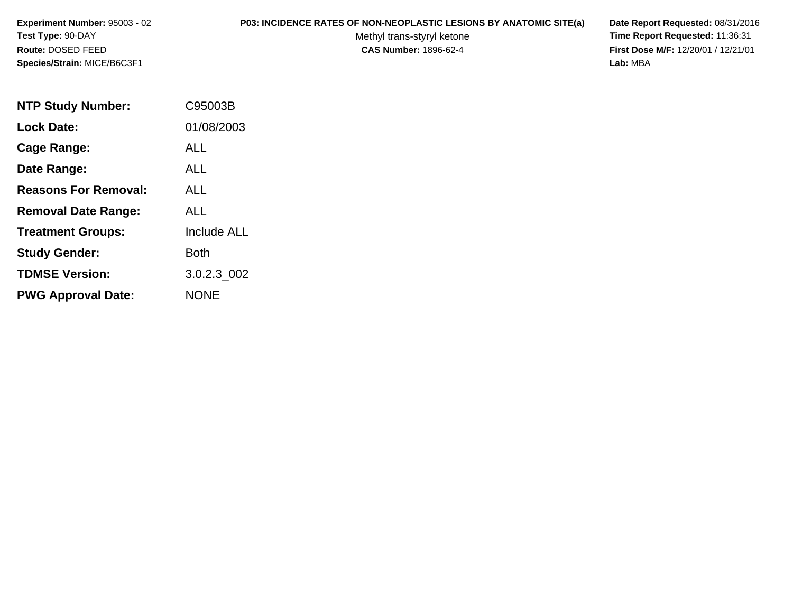**Experiment Number:** 95003 - 02**Test Type:** 90-DAY**Route:** DOSED FEED**Species/Strain:** MICE/B6C3F1

## **P03: INCIDENCE RATES OF NON-NEOPLASTIC LESIONS BY ANATOMIC SITE(a) Date Report Requested:** 08/31/2016

Methyl trans-styryl ketone<br>CAS Number: 1896-62-4

 **Time Report Requested:** 11:36:31 **First Dose M/F:** 12/20/01 / 12/21/01<br>Lab: MBA **Lab:** MBA

| <b>NTP Study Number:</b>    | C95003B            |
|-----------------------------|--------------------|
| <b>Lock Date:</b>           | 01/08/2003         |
| Cage Range:                 | ALL                |
| Date Range:                 | AI I               |
| <b>Reasons For Removal:</b> | ALL                |
| <b>Removal Date Range:</b>  | ALL                |
| <b>Treatment Groups:</b>    | <b>Include ALL</b> |
| <b>Study Gender:</b>        | Both               |
| <b>TDMSE Version:</b>       | 3.0.2.3 002        |
| <b>PWG Approval Date:</b>   | <b>NONE</b>        |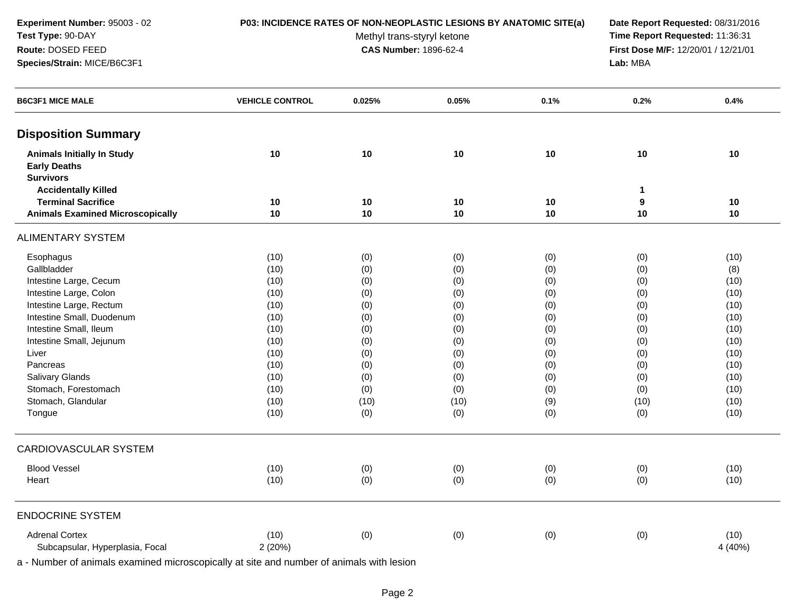**Experiment Number:** 95003 - 02**Test Type:** 90-DAY**Route:** DOSED FEED**Species/Strain:** MICE/B6C3F1

## **P03: INCIDENCE RATES OF NON-NEOPLASTIC LESIONS BY ANATOMIC SITE(a) Date Report Requested:** 08/31/2016

Methyl trans-styryl ketone<br>CAS Number: 1896-62-4

 **Time Report Requested:** 11:36:31 **First Dose M/F:** 12/20/01 / 12/21/01<br>**Lab:** MBA **Lab:** MBA

| <b>B6C3F1 MICE MALE</b>                                  | <b>VEHICLE CONTROL</b> | 0.025% | 0.05% | 0.1% | 0.2%                                     | 0.4%            |
|----------------------------------------------------------|------------------------|--------|-------|------|------------------------------------------|-----------------|
| <b>Disposition Summary</b>                               |                        |        |       |      |                                          |                 |
| <b>Animals Initially In Study</b><br><b>Early Deaths</b> | 10                     | 10     | 10    | 10   | 10                                       | 10              |
| <b>Survivors</b>                                         |                        |        |       |      |                                          |                 |
| <b>Accidentally Killed</b><br><b>Terminal Sacrifice</b>  | 10                     | 10     | 10    | 10   | $\blacktriangleleft$<br>$\boldsymbol{9}$ | 10              |
| <b>Animals Examined Microscopically</b>                  | 10                     | 10     | 10    | 10   | 10                                       | 10              |
| <b>ALIMENTARY SYSTEM</b>                                 |                        |        |       |      |                                          |                 |
| Esophagus                                                | (10)                   | (0)    | (0)   | (0)  | (0)                                      | (10)            |
| Gallbladder                                              | (10)                   | (0)    | (0)   | (0)  | (0)                                      | (8)             |
| Intestine Large, Cecum                                   | (10)                   | (0)    | (0)   | (0)  | (0)                                      | (10)            |
| Intestine Large, Colon                                   | (10)                   | (0)    | (0)   | (0)  | (0)                                      | (10)            |
| Intestine Large, Rectum                                  | (10)                   | (0)    | (0)   | (0)  | (0)                                      | (10)            |
| Intestine Small, Duodenum                                | (10)                   | (0)    | (0)   | (0)  | (0)                                      | (10)            |
| Intestine Small, Ileum                                   | (10)                   | (0)    | (0)   | (0)  | (0)                                      | (10)            |
| Intestine Small, Jejunum                                 | (10)                   | (0)    | (0)   | (0)  | (0)                                      | (10)            |
| Liver                                                    | (10)                   | (0)    | (0)   | (0)  | (0)                                      | (10)            |
| Pancreas                                                 | (10)                   | (0)    | (0)   | (0)  | (0)                                      | (10)            |
| Salivary Glands                                          | (10)                   | (0)    | (0)   | (0)  | (0)                                      | (10)            |
| Stomach, Forestomach                                     | (10)                   | (0)    | (0)   | (0)  | (0)                                      | (10)            |
| Stomach, Glandular                                       | (10)                   | (10)   | (10)  | (9)  | (10)                                     | (10)            |
| Tongue                                                   | (10)                   | (0)    | (0)   | (0)  | (0)                                      | (10)            |
| <b>CARDIOVASCULAR SYSTEM</b>                             |                        |        |       |      |                                          |                 |
| <b>Blood Vessel</b>                                      | (10)                   | (0)    | (0)   | (0)  | (0)                                      | (10)            |
| Heart                                                    | (10)                   | (0)    | (0)   | (0)  | (0)                                      | (10)            |
| <b>ENDOCRINE SYSTEM</b>                                  |                        |        |       |      |                                          |                 |
| <b>Adrenal Cortex</b><br>Subcapsular, Hyperplasia, Focal | (10)<br>2 (20%)        | (0)    | (0)   | (0)  | (0)                                      | (10)<br>4 (40%) |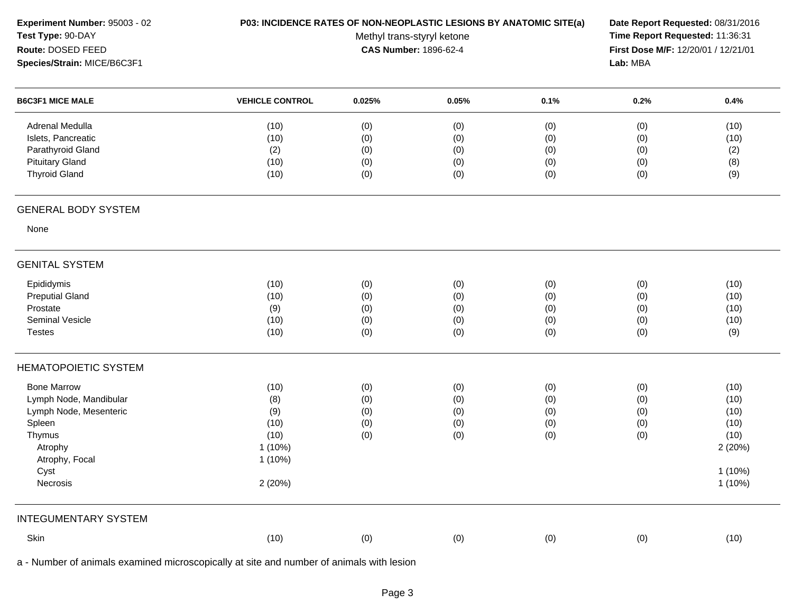| Experiment Number: 95003 - 02 | P03: INCIDENCE RATES OF NON-NEOPLASTIC LESIONS BY ANATOMIC SITE(a) | Date Report Requested: 08/31/2016<br>Time Report Requested: 11:36:31<br>First Dose M/F: 12/20/01 / 12/21/01 |       |      |          |         |
|-------------------------------|--------------------------------------------------------------------|-------------------------------------------------------------------------------------------------------------|-------|------|----------|---------|
| Test Type: 90-DAY             |                                                                    |                                                                                                             |       |      |          |         |
| Route: DOSED FEED             |                                                                    | <b>CAS Number: 1896-62-4</b>                                                                                |       |      |          |         |
| Species/Strain: MICE/B6C3F1   |                                                                    |                                                                                                             |       |      | Lab: MBA |         |
| <b>B6C3F1 MICE MALE</b>       | <b>VEHICLE CONTROL</b>                                             | 0.025%                                                                                                      | 0.05% | 0.1% | 0.2%     | 0.4%    |
| Adrenal Medulla               | (10)                                                               | (0)                                                                                                         | (0)   | (0)  | (0)      | (10)    |
| Islets, Pancreatic            | (10)                                                               | (0)                                                                                                         | (0)   | (0)  | (0)      | (10)    |
| Parathyroid Gland             | (2)                                                                | (0)                                                                                                         | (0)   | (0)  | (0)      | (2)     |
| <b>Pituitary Gland</b>        | (10)                                                               | (0)                                                                                                         | (0)   | (0)  | (0)      | (8)     |
| <b>Thyroid Gland</b>          | (10)                                                               | (0)                                                                                                         | (0)   | (0)  | (0)      | (9)     |
| <b>GENERAL BODY SYSTEM</b>    |                                                                    |                                                                                                             |       |      |          |         |
| None                          |                                                                    |                                                                                                             |       |      |          |         |
| <b>GENITAL SYSTEM</b>         |                                                                    |                                                                                                             |       |      |          |         |
| Epididymis                    | (10)                                                               | (0)                                                                                                         | (0)   | (0)  | (0)      | (10)    |
| <b>Preputial Gland</b>        | (10)                                                               | (0)                                                                                                         | (0)   | (0)  | (0)      | (10)    |
| Prostate                      | (9)                                                                | (0)                                                                                                         | (0)   | (0)  | (0)      | (10)    |
| Seminal Vesicle               | (10)                                                               | (0)                                                                                                         | (0)   | (0)  | (0)      | (10)    |
| <b>Testes</b>                 | (10)                                                               | (0)                                                                                                         | (0)   | (0)  | (0)      | (9)     |
| <b>HEMATOPOIETIC SYSTEM</b>   |                                                                    |                                                                                                             |       |      |          |         |
| <b>Bone Marrow</b>            | (10)                                                               | (0)                                                                                                         | (0)   | (0)  | (0)      | (10)    |
| Lymph Node, Mandibular        | (8)                                                                | (0)                                                                                                         | (0)   | (0)  | (0)      | (10)    |
| Lymph Node, Mesenteric        | (9)                                                                | (0)                                                                                                         | (0)   | (0)  | (0)      | (10)    |
| Spleen                        | (10)                                                               | (0)                                                                                                         | (0)   | (0)  | (0)      | (10)    |
| Thymus                        | (10)                                                               | (0)                                                                                                         | (0)   | (0)  | (0)      | (10)    |
| Atrophy                       | $1(10\%)$                                                          |                                                                                                             |       |      |          | 2 (20%) |
| Atrophy, Focal                | $1(10\%)$                                                          |                                                                                                             |       |      |          |         |
| Cyst                          |                                                                    |                                                                                                             |       |      |          | 1 (10%) |
| Necrosis                      | 2(20%)                                                             |                                                                                                             |       |      |          | 1(10%)  |
| <b>INTEGUMENTARY SYSTEM</b>   |                                                                    |                                                                                                             |       |      |          |         |
| Skin                          | (10)                                                               | (0)                                                                                                         | (0)   | (0)  | (0)      | (10)    |
|                               |                                                                    |                                                                                                             |       |      |          |         |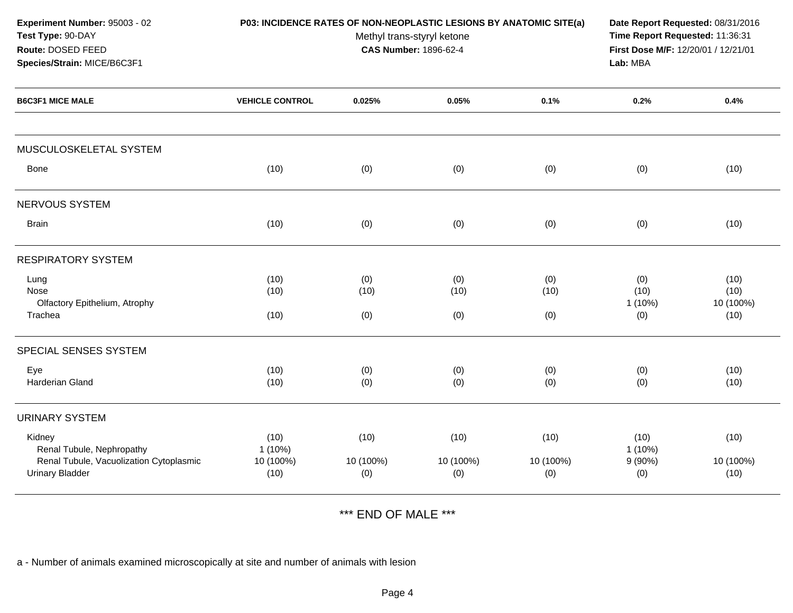|                                        | Date Report Requested: 08/31/2016<br>Time Report Requested: 11:36:31<br>First Dose M/F: 12/20/01 / 12/21/01<br>Lab: MBA |                          |                                                            |                                                                    |                           |
|----------------------------------------|-------------------------------------------------------------------------------------------------------------------------|--------------------------|------------------------------------------------------------|--------------------------------------------------------------------|---------------------------|
| <b>VEHICLE CONTROL</b>                 | 0.025%                                                                                                                  | 0.05%                    | 0.1%                                                       | 0.2%                                                               | 0.4%                      |
|                                        |                                                                                                                         |                          |                                                            |                                                                    |                           |
| (10)                                   | (0)                                                                                                                     | (0)                      | (0)                                                        | (0)                                                                | (10)                      |
|                                        |                                                                                                                         |                          |                                                            |                                                                    |                           |
| (10)                                   | (0)                                                                                                                     | (0)                      | (0)                                                        | (0)                                                                | (10)                      |
|                                        |                                                                                                                         |                          |                                                            |                                                                    |                           |
| (10)<br>(10)                           | (0)<br>(10)                                                                                                             | (0)<br>(10)              | (0)<br>(10)                                                | (0)<br>(10)                                                        | (10)<br>(10)<br>10 (100%) |
| (10)                                   | (0)                                                                                                                     | (0)                      | (0)                                                        | (0)                                                                | (10)                      |
|                                        |                                                                                                                         |                          |                                                            |                                                                    |                           |
| (10)<br>(10)                           | (0)<br>(0)                                                                                                              | (0)<br>(0)               | (0)<br>(0)                                                 | (0)<br>(0)                                                         | (10)<br>(10)              |
|                                        |                                                                                                                         |                          |                                                            |                                                                    |                           |
| (10)<br>$1(10\%)$<br>10 (100%)<br>(10) | (10)<br>10 (100%)<br>(0)                                                                                                | (10)<br>10 (100%)<br>(0) | (10)<br>10 (100%)<br>(0)                                   | (10)<br>1(10%)<br>9(90%)<br>(0)                                    | (10)<br>10 (100%)<br>(10) |
|                                        |                                                                                                                         |                          | Methyl trans-styryl ketone<br><b>CAS Number: 1896-62-4</b> | P03: INCIDENCE RATES OF NON-NEOPLASTIC LESIONS BY ANATOMIC SITE(a) | $1(10\%)$                 |

\*\*\* END OF MALE \*\*\*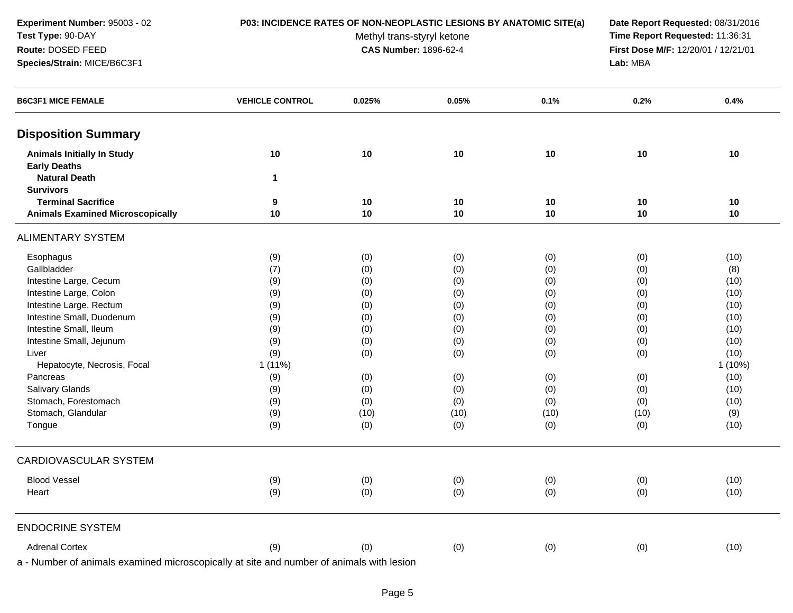**Experiment Number:** 95003 - 02**Test Type:** 90-DAY**Route:** DOSED FEED**Species/Strain:** MICE/B6C3F1

## **P03: INCIDENCE RATES OF NON-NEOPLASTIC LESIONS BY ANATOMIC SITE(a) Date Report Requested:** 08/31/2016

Methyl trans-styryl ketone<br>CAS Number: 1896-62-4

 **Time Report Requested:** 11:36:31 **First Dose M/F:** 12/20/01 / 12/21/01<br>Lab: MBA **Lab:** MBA

| <b>B6C3F1 MICE FEMALE</b>                                                                                                                                                                                                      | <b>VEHICLE CONTROL</b>       | 0.025%                                  | 0.05% | 0.1% | 0.2% | 0.4%      |
|--------------------------------------------------------------------------------------------------------------------------------------------------------------------------------------------------------------------------------|------------------------------|-----------------------------------------|-------|------|------|-----------|
| <b>Disposition Summary</b>                                                                                                                                                                                                     |                              |                                         |       |      |      |           |
| <b>Animals Initially In Study</b>                                                                                                                                                                                              | 10                           | 10                                      | 10    | 10   | 10   | $10$      |
| <b>Early Deaths</b>                                                                                                                                                                                                            |                              |                                         |       |      |      |           |
| <b>Natural Death</b>                                                                                                                                                                                                           | 1                            |                                         |       |      |      |           |
| <b>Survivors</b>                                                                                                                                                                                                               |                              |                                         |       |      |      |           |
| <b>Terminal Sacrifice</b>                                                                                                                                                                                                      | 9                            | $10$                                    | 10    | 10   | 10   | 10        |
| <b>Animals Examined Microscopically</b>                                                                                                                                                                                        | 10                           | $10$                                    | 10    | 10   | 10   | 10        |
| <b>ALIMENTARY SYSTEM</b>                                                                                                                                                                                                       |                              |                                         |       |      |      |           |
| Esophagus                                                                                                                                                                                                                      | (9)                          | (0)                                     | (0)   | (0)  | (0)  | (10)      |
| Gallbladder                                                                                                                                                                                                                    | (7)                          | (0)                                     | (0)   | (0)  | (0)  | (8)       |
| Intestine Large, Cecum                                                                                                                                                                                                         | (9)                          | (0)                                     | (0)   | (0)  | (0)  | (10)      |
| Intestine Large, Colon                                                                                                                                                                                                         | (9)                          | (0)                                     | (0)   | (0)  | (0)  | (10)      |
| Intestine Large, Rectum                                                                                                                                                                                                        | (9)                          | (0)                                     | (0)   | (0)  | (0)  | (10)      |
| Intestine Small, Duodenum                                                                                                                                                                                                      | (9)                          | (0)                                     | (0)   | (0)  | (0)  | (10)      |
| Intestine Small, Ileum                                                                                                                                                                                                         | (9)                          | (0)                                     | (0)   | (0)  | (0)  | (10)      |
| Intestine Small, Jejunum                                                                                                                                                                                                       | (9)                          | (0)                                     | (0)   | (0)  | (0)  | (10)      |
| Liver                                                                                                                                                                                                                          | (9)                          | (0)                                     | (0)   | (0)  | (0)  | (10)      |
| Hepatocyte, Necrosis, Focal                                                                                                                                                                                                    | $1(11\%)$                    |                                         |       |      |      | $1(10\%)$ |
| Pancreas                                                                                                                                                                                                                       | (9)                          | (0)                                     | (0)   | (0)  | (0)  | (10)      |
| Salivary Glands                                                                                                                                                                                                                | (9)                          | (0)                                     | (0)   | (0)  | (0)  | (10)      |
| Stomach, Forestomach                                                                                                                                                                                                           | (9)                          | (0)                                     | (0)   | (0)  | (0)  | (10)      |
| Stomach, Glandular                                                                                                                                                                                                             | (9)                          | (10)                                    | (10)  | (10) | (10) | (9)       |
| Tongue                                                                                                                                                                                                                         | (9)                          | (0)                                     | (0)   | (0)  | (0)  | (10)      |
| CARDIOVASCULAR SYSTEM                                                                                                                                                                                                          |                              |                                         |       |      |      |           |
| <b>Blood Vessel</b>                                                                                                                                                                                                            | (9)                          | (0)                                     | (0)   | (0)  | (0)  | (10)      |
| Heart                                                                                                                                                                                                                          | (9)                          | (0)                                     | (0)   | (0)  | (0)  | (10)      |
| <b>ENDOCRINE SYSTEM</b>                                                                                                                                                                                                        |                              |                                         |       |      |      |           |
| <b>Adrenal Cortex</b>                                                                                                                                                                                                          | (9)                          | (0)                                     | (0)   | (0)  | (0)  | (10)      |
| The first state of the contract of the contract of the contract of the contract of the contract of the contract of the contract of the contract of the contract of the contract of the contract of the contract of the contrac | a tha a tha a choice a threa | والمستنقل والمتراوي والمستنقل والمستنقل |       |      |      |           |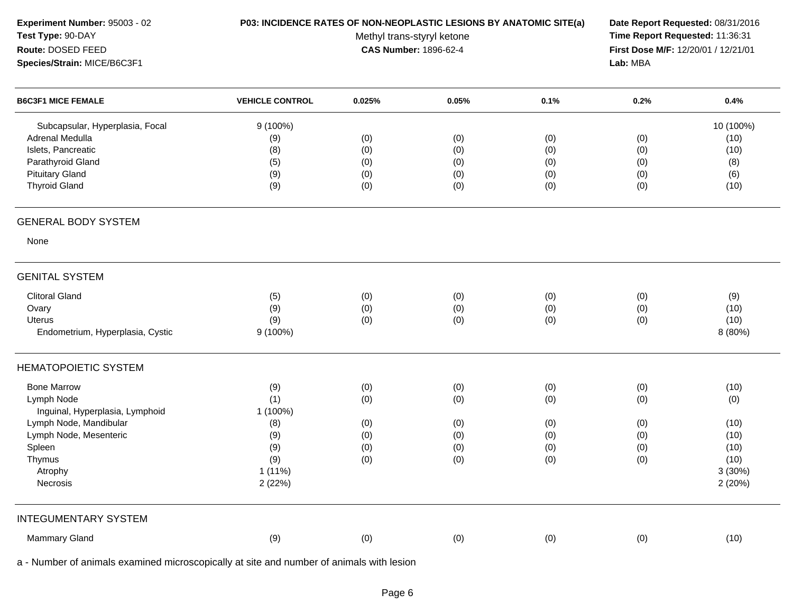| Experiment Number: 95003 - 02<br>Test Type: 90-DAY<br>Route: DOSED FEED<br>Species/Strain: MICE/B6C3F1                                          | P03: INCIDENCE RATES OF NON-NEOPLASTIC LESIONS BY ANATOMIC SITE(a) | Date Report Requested: 08/31/2016<br>Time Report Requested: 11:36:31<br>First Dose M/F: 12/20/01 / 12/21/01<br>Lab: MBA |                                        |                                        |                                        |                                                 |
|-------------------------------------------------------------------------------------------------------------------------------------------------|--------------------------------------------------------------------|-------------------------------------------------------------------------------------------------------------------------|----------------------------------------|----------------------------------------|----------------------------------------|-------------------------------------------------|
| <b>B6C3F1 MICE FEMALE</b>                                                                                                                       | <b>VEHICLE CONTROL</b>                                             | 0.025%                                                                                                                  | 0.05%                                  | 0.1%                                   | 0.2%                                   | 0.4%                                            |
| Subcapsular, Hyperplasia, Focal<br>Adrenal Medulla<br>Islets, Pancreatic<br>Parathyroid Gland<br><b>Pituitary Gland</b><br><b>Thyroid Gland</b> | $9(100\%)$<br>(9)<br>(8)<br>(5)<br>(9)<br>(9)                      | (0)<br>(0)<br>(0)<br>(0)<br>(0)                                                                                         | (0)<br>(0)<br>(0)<br>(0)<br>(0)        | (0)<br>(0)<br>(0)<br>(0)<br>(0)        | (0)<br>(0)<br>(0)<br>(0)<br>(0)        | 10 (100%)<br>(10)<br>(10)<br>(8)<br>(6)<br>(10) |
| <b>GENERAL BODY SYSTEM</b>                                                                                                                      |                                                                    |                                                                                                                         |                                        |                                        |                                        |                                                 |
| None                                                                                                                                            |                                                                    |                                                                                                                         |                                        |                                        |                                        |                                                 |
| <b>GENITAL SYSTEM</b>                                                                                                                           |                                                                    |                                                                                                                         |                                        |                                        |                                        |                                                 |
| <b>Clitoral Gland</b><br>Ovary<br>Uterus<br>Endometrium, Hyperplasia, Cystic                                                                    | (5)<br>(9)<br>(9)<br>$9(100\%)$                                    | (0)<br>(0)<br>(0)                                                                                                       | (0)<br>(0)<br>(0)                      | (0)<br>(0)<br>(0)                      | (0)<br>(0)<br>(0)                      | (9)<br>(10)<br>(10)<br>8 (80%)                  |
| <b>HEMATOPOIETIC SYSTEM</b>                                                                                                                     |                                                                    |                                                                                                                         |                                        |                                        |                                        |                                                 |
| <b>Bone Marrow</b><br>Lymph Node<br>Inguinal, Hyperplasia, Lymphoid<br>Lymph Node, Mandibular<br>Lymph Node, Mesenteric<br>Spleen<br>Thymus     | (9)<br>(1)<br>1 (100%)<br>(8)<br>(9)<br>(9)<br>(9)                 | (0)<br>(0)<br>(0)<br>(0)<br>(0)<br>(0)                                                                                  | (0)<br>(0)<br>(0)<br>(0)<br>(0)<br>(0) | (0)<br>(0)<br>(0)<br>(0)<br>(0)<br>(0) | (0)<br>(0)<br>(0)<br>(0)<br>(0)<br>(0) | (10)<br>(0)<br>(10)<br>(10)<br>(10)<br>(10)     |
| Atrophy<br>Necrosis                                                                                                                             | $1(11\%)$<br>2(22%)                                                |                                                                                                                         |                                        |                                        |                                        | 3(30%)<br>2(20%)                                |
| <b>INTEGUMENTARY SYSTEM</b><br>Mammary Gland                                                                                                    | (9)                                                                | (0)                                                                                                                     | (0)                                    | (0)                                    | (0)                                    | (10)                                            |